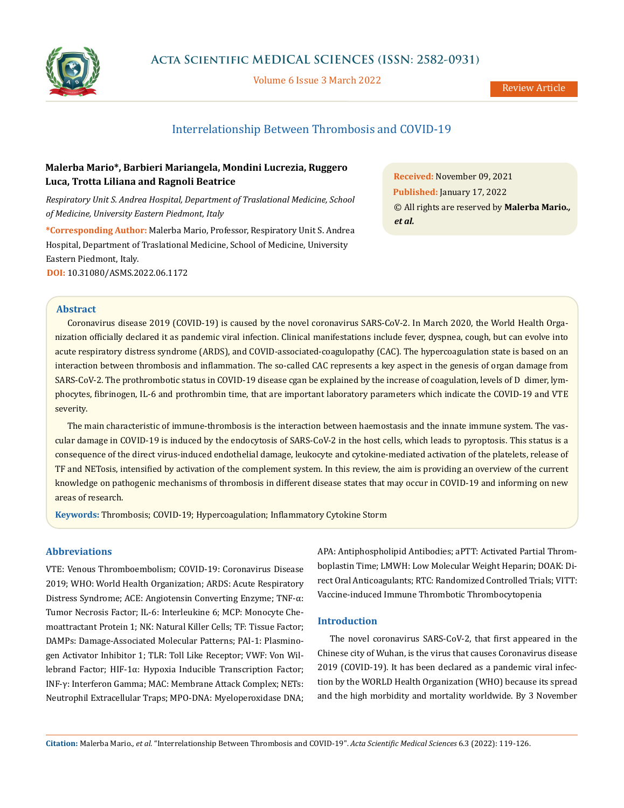

# **Acta Scientific MEDICAL SCIENCES (ISSN: 2582-0931)**

Volume 6 Issue 3 March 2022

# Interrelationship Between Thrombosis and COVID-19

# **Malerba Mario\*, Barbieri Mariangela, Mondini Lucrezia, Ruggero Luca, Trotta Liliana and Ragnoli Beatrice**

*Respiratory Unit S. Andrea Hospital, Department of Traslational Medicine, School of Medicine, University Eastern Piedmont, Italy*

**\*Corresponding Author:** Malerba Mario, Professor, Respiratory Unit S. Andrea Hospital, Department of Traslational Medicine, School of Medicine, University Eastern Piedmont, Italy. **DOI:** [10.31080/ASMS.2022.06.1172](https://actascientific.com/ASMS/pdf/ASMS-06-1172.pdf)

**Received:** November 09, 2021 **Published:** January 17, 2022 © All rights are reserved by **Malerba Mario***., et al.* 

# **Abstract**

Coronavirus disease 2019 (COVID-19) is caused by the novel coronavirus SARS-CoV-2. In March 2020, the World Health Organization officially declared it as pandemic viral infection. Clinical manifestations include fever, dyspnea, cough, but can evolve into acute respiratory distress syndrome (ARDS), and COVID-associated-coagulopathy (CAC). The hypercoagulation state is based on an interaction between thrombosis and inflammation. The so-called CAC represents a key aspect in the genesis of organ damage from SARS-CoV-2. The prothrombotic status in COVID-19 disease cgan be explained by the increase of coagulation, levels of D dimer, lymphocytes, fibrinogen, IL-6 and prothrombin time, that are important laboratory parameters which indicate the COVID-19 and VTE severity.

The main characteristic of immune-thrombosis is the interaction between haemostasis and the innate immune system. The vascular damage in COVID-19 is induced by the endocytosis of SARS-CoV-2 in the host cells, which leads to pyroptosis. This status is a consequence of the direct virus-induced endothelial damage, leukocyte and cytokine-mediated activation of the platelets, release of TF and NETosis, intensified by activation of the complement system. In this review, the aim is providing an overview of the current knowledge on pathogenic mechanisms of thrombosis in different disease states that may occur in COVID-19 and informing on new areas of research.

**Keywords:** Thrombosis; COVID-19; Hypercoagulation; Inflammatory Cytokine Storm

# **Abbreviations**

VTE: Venous Thromboembolism; COVID-19: Coronavirus Disease 2019; WHO: World Health Organization; ARDS: Acute Respiratory Distress Syndrome; ACE: Angiotensin Converting Enzyme; TNF-α: Tumor Necrosis Factor; IL-6: Interleukine 6; MCP: Monocyte Chemoattractant Protein 1; NK: Natural Killer Cells; TF: Tissue Factor; DAMPs: Damage-Associated Molecular Patterns; PAI-1: Plasminogen Activator Inhibitor 1; TLR: Toll Like Receptor; VWF: Von Willebrand Factor; HIF-1α: Hypoxia Inducible Transcription Factor; INF-γ: Interferon Gamma; MAC: Membrane Attack Complex; NETs: Neutrophil Extracellular Traps; MPO-DNA: Myeloperoxidase DNA;

APA: Antiphospholipid Antibodies; aPTT: Activated Partial Thromboplastin Time; LMWH: Low Molecular Weight Heparin; DOAK: Direct Oral Anticoagulants; RTC: Randomized Controlled Trials; VITT: Vaccine-induced Immune Thrombotic Thrombocytopenia

## **Introduction**

The novel coronavirus SARS-CoV-2, that first appeared in the Chinese city of Wuhan, is the virus that causes Coronavirus disease 2019 (COVID-19). It has been declared as a pandemic viral infection by the WORLD Health Organization (WHO) because its spread and the high morbidity and mortality worldwide. By 3 November

**Citation:** Malerba Mario*., et al.* "Interrelationship Between Thrombosis and COVID-19". *Acta Scientific Medical Sciences* 6.3 (2022): 119-126.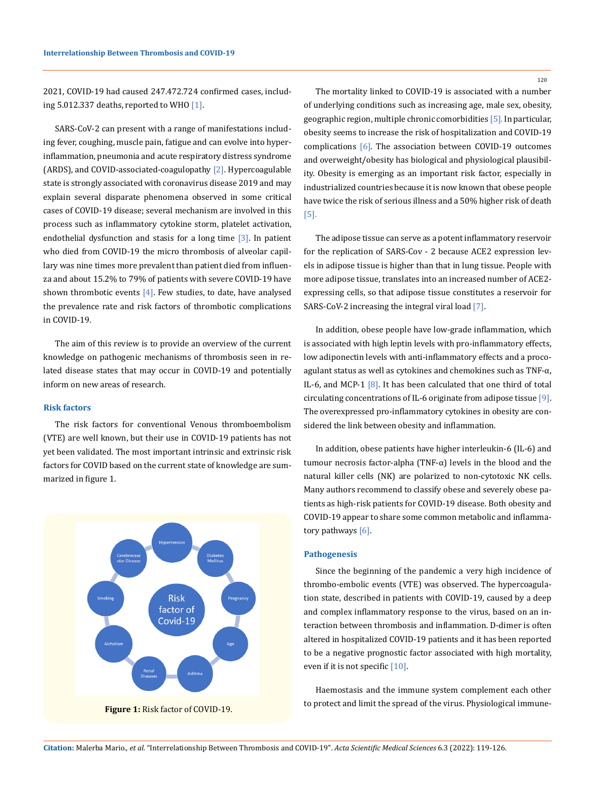2021, COVID-19 had caused 247.472.724 confirmed cases, including 5.012.337 deaths, reported to WHO [1].

SARS-CoV-2 can present with a range of manifestations including fever, coughing, muscle pain, fatigue and can evolve into hyperinflammation, pneumonia and acute respiratory distress syndrome (ARDS), and COVID-associated-coagulopathy [2]. Hypercoagulable state is strongly associated with coronavirus disease 2019 and may explain several disparate phenomena observed in some critical cases of COVID-19 disease; several mechanism are involved in this process such as inflammatory cytokine storm, platelet activation, endothelial dysfunction and stasis for a long time  $[3]$ . In patient who died from COVID-19 the micro thrombosis of alveolar capillary was nine times more prevalent than patient died from influenza and about 15.2% to 79% of patients with severe COVID-19 have shown thrombotic events  $[4]$ . Few studies, to date, have analysed the prevalence rate and risk factors of thrombotic complications in COVID-19.

The aim of this review is to provide an overview of the current knowledge on pathogenic mechanisms of thrombosis seen in related disease states that may occur in COVID-19 and potentially inform on new areas of research.

## **Risk factors**

The risk factors for conventional Venous thromboembolism (VTE) are well known, but their use in COVID-19 patients has not yet been validated. The most important intrinsic and extrinsic risk factors for COVID based on the current state of knowledge are summarized in figure 1.



The mortality linked to COVID-19 is associated with a number of underlying conditions such as increasing age, male sex, obesity, geographic region, multiple chronic comorbidities [5]. In particular, obesity seems to increase the risk of hospitalization and COVID-19 complications [6]. The association between COVID-19 outcomes and overweight/obesity has biological and physiological plausibility. Obesity is emerging as an important risk factor, especially in industrialized countries because it is now known that obese people have twice the risk of serious illness and a 50% higher risk of death [5].

The adipose tissue can serve as a potent inflammatory reservoir for the replication of SARS-Cov - 2 because ACE2 expression levels in adipose tissue is higher than that in lung tissue. People with more adipose tissue, translates into an increased number of ACE2 expressing cells, so that adipose tissue constitutes a reservoir for SARS-CoV-2 increasing the integral viral load [7].

In addition, obese people have low-grade inflammation, which is associated with high leptin levels with pro-inflammatory effects, low adiponectin levels with anti-inflammatory effects and a procoagulant status as well as cytokines and chemokines such as TNF-α, IL-6, and MCP-1 [8]. It has been calculated that one third of total circulating concentrations of IL-6 originate from adipose tissue [9]. The overexpressed pro-inflammatory cytokines in obesity are considered the link between obesity and inflammation.

In addition, obese patients have higher interleukin-6 (IL-6) and tumour necrosis factor-alpha (TNF-α) levels in the blood and the natural killer cells (NK) are polarized to non-cytotoxic NK cells. Many authors recommend to classify obese and severely obese patients as high-risk patients for COVID-19 disease. Both obesity and COVID-19 appear to share some common metabolic and inflammatory pathways [6].

#### **Pathogenesis**

Since the beginning of the pandemic a very high incidence of thrombo-embolic events (VTE) was observed. The hypercoagulation state, described in patients with COVID-19, caused by a deep and complex inflammatory response to the virus, based on an interaction between thrombosis and inflammation. D-dimer is often altered in hospitalized COVID-19 patients and it has been reported to be a negative prognostic factor associated with high mortality, even if it is not specific [10].

Haemostasis and the immune system complement each other to protect and limit the spread of the virus. Physiological immune-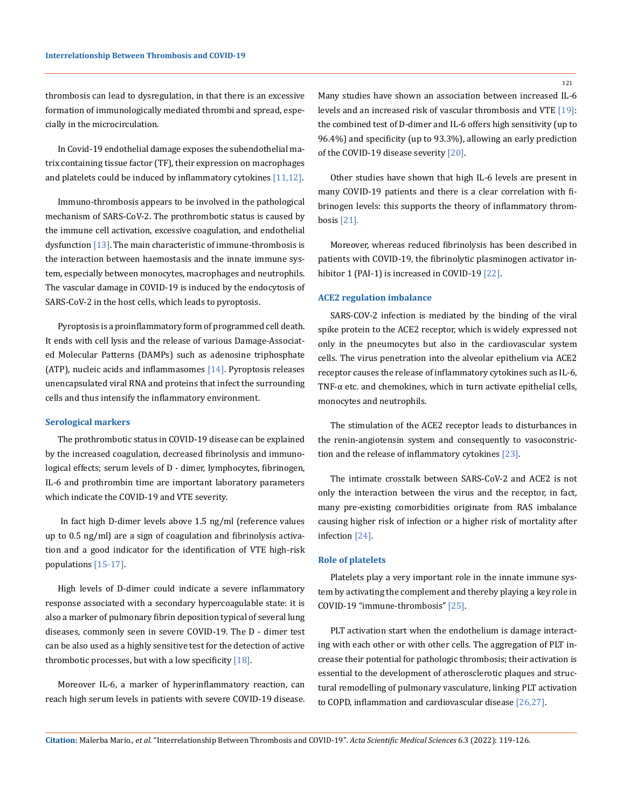thrombosis can lead to dysregulation, in that there is an excessive formation of immunologically mediated thrombi and spread, especially in the microcirculation.

In Covid-19 endothelial damage exposes the subendothelial matrix containing tissue factor (TF), their expression on macrophages and platelets could be induced by inflammatory cytokines [11,12].

Immuno-thrombosis appears to be involved in the pathological mechanism of SARS-CoV-2. The prothrombotic status is caused by the immune cell activation, excessive coagulation, and endothelial dysfunction  $[13]$ . The main characteristic of immune-thrombosis is the interaction between haemostasis and the innate immune system, especially between monocytes, macrophages and neutrophils. The vascular damage in COVID-19 is induced by the endocytosis of SARS-CoV-2 in the host cells, which leads to pyroptosis.

Pyroptosis is a proinflammatory form of programmed cell death. It ends with cell lysis and the release of various Damage-Associated Molecular Patterns (DAMPs) such as adenosine triphosphate (ATP), nucleic acids and inflammasomes  $[14]$ . Pyroptosis releases unencapsulated viral RNA and proteins that infect the surrounding cells and thus intensify the inflammatory environment.

#### **Serological markers**

The prothrombotic status in COVID-19 disease can be explained by the increased coagulation, decreased fibrinolysis and immunological effects; serum levels of D ‑ dimer, lymphocytes, fibrinogen, IL-6 and prothrombin time are important laboratory parameters which indicate the COVID-19 and VTE severity.

 In fact high D-dimer levels above 1.5 ng/ml (reference values up to 0.5 ng/ml) are a sign of coagulation and fibrinolysis activation and a good indicator for the identification of VTE high-risk populations [15-17].

High levels of D-dimer could indicate a severe inflammatory response associated with a secondary hypercoagulable state: it is also a marker of pulmonary fibrin deposition typical of several lung diseases, commonly seen in severe COVID-19. The D - dimer test can be also used as a highly sensitive test for the detection of active thrombotic processes, but with a low specificity  $[18]$ .

Moreover IL-6, a marker of hyperinflammatory reaction, can reach high serum levels in patients with severe COVID-19 disease. Many studies have shown an association between increased IL-6 levels and an increased risk of vascular thrombosis and VTE [19]: the combined test of D-dimer and IL-6 offers high sensitivity (up to 96.4%) and specificity (up to 93.3%), allowing an early prediction of the COVID-19 disease severity [20].

Other studies have shown that high IL-6 levels are present in many COVID-19 patients and there is a clear correlation with fibrinogen levels: this supports the theory of inflammatory thrombosis [21].

Moreover, whereas reduced fibrinolysis has been described in patients with COVID-19, the fibrinolytic plasminogen activator inhibitor 1 (PAI-1) is increased in COVID-19 [22].

#### **ACE2 regulation imbalance**

SARS-COV-2 infection is mediated by the binding of the viral spike protein to the ACE2 receptor, which is widely expressed not only in the pneumocytes but also in the cardiovascular system cells. The virus penetration into the alveolar epithelium via ACE2 receptor causes the release of inflammatory cytokines such as IL-6, TNF-α etc. and chemokines, which in turn activate epithelial cells, monocytes and neutrophils.

The stimulation of the ACE2 receptor leads to disturbances in the renin-angiotensin system and consequently to vasoconstriction and the release of inflammatory cytokines [23].

The intimate crosstalk between SARS-CoV-2 and ACE2 is not only the interaction between the virus and the receptor, in fact, many pre-existing comorbidities originate from RAS imbalance causing higher risk of infection or a higher risk of mortality after infection [24].

## **Role of platelets**

Platelets play a very important role in the innate immune system by activating the complement and thereby playing a key role in COVID-19 "immune-thrombosis" [25].

PLT activation start when the endothelium is damage interacting with each other or with other cells. The aggregation of PLT increase their potential for pathologic thrombosis; their activation is essential to the development of atherosclerotic plaques and structural remodelling of pulmonary vasculature, linking PLT activation to COPD, inflammation and cardiovascular disease [26,27].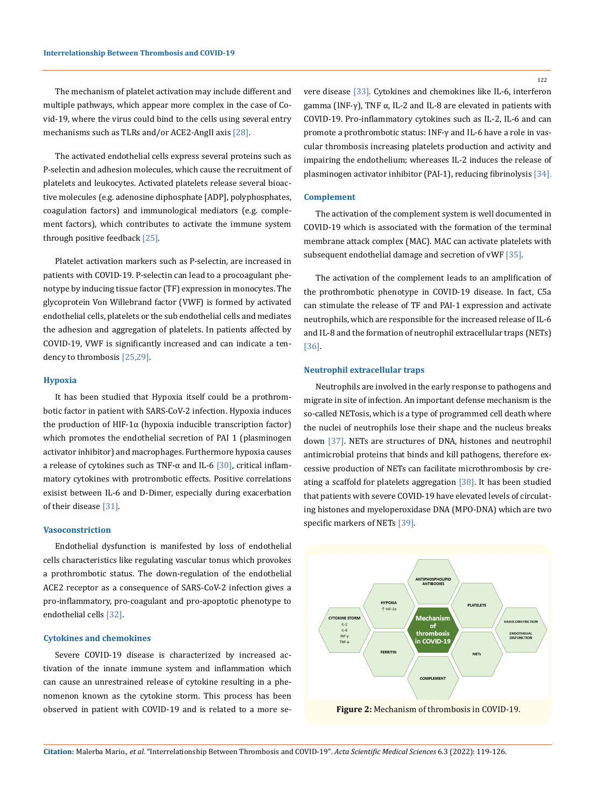The mechanism of platelet activation may include different and multiple pathways, which appear more complex in the case of Covid-19, where the virus could bind to the cells using several entry mechanisms such as TLRs and/or ACE2-AngII axis [28].

The activated endothelial cells express several proteins such as P-selectin and adhesion molecules, which cause the recruitment of platelets and leukocytes. Activated platelets release several bioactive molecules (e.g. adenosine diphosphate [ADP], polyphosphates, coagulation factors) and immunological mediators (e.g. complement factors), which contributes to activate the immune system through positive feedback [25].

Platelet activation markers such as P‑selectin, are increased in patients with COVID-19. P-selectin can lead to a procoagulant phenotype by inducing tissue factor (TF) expression in monocytes. The glycoprotein Von Willebrand factor (VWF) is formed by activated endothelial cells, platelets or the sub endothelial cells and mediates the adhesion and aggregation of platelets. In patients affected by COVID-19, VWF is significantly increased and can indicate a tendency to thrombosis [25,29].

### **Hypoxia**

It has been studied that Hypoxia itself could be a prothrombotic factor in patient with SARS-CoV-2 infection. Hypoxia induces the production of HIF-1α (hypoxia inducible transcription factor) which promotes the endothelial secretion of PAI 1 (plasminogen activator inhibitor) and macrophages. Furthermore hypoxia causes a release of cytokines such as TNF- $\alpha$  and IL-6 [30], critical inflammatory cytokines with protrombotic effects. Positive correlations exisist between IL-6 and D-Dimer, especially during exacerbation of their disease [31].

### **Vasoconstriction**

Endothelial dysfunction is manifested by loss of endothelial cells characteristics like regulating vascular tonus which provokes a prothrombotic status. The down-regulation of the endothelial ACE2 receptor as a consequence of SARS-CoV-2 infection gives a pro-inflammatory, pro-coagulant and pro-apoptotic phenotype to endothelial cells [32].

# **Cytokines and chemokines**

Severe COVID-19 disease is characterized by increased activation of the innate immune system and inflammation which can cause an unrestrained release of cytokine resulting in a phenomenon known as the cytokine storm. This process has been observed in patient with COVID-19 and is related to a more severe disease [33]. Cytokines and chemokines like IL-6, interferon gamma (INF-γ), TNF  $\alpha$ , IL-2 and IL-8 are elevated in patients with COVID-19. Pro-inflammatory cytokines such as IL-2, IL-6 and can promote a prothrombotic status: INF-γ and IL-6 have a role in vascular thrombosis increasing platelets production and activity and impairing the endothelium; whereases IL-2 induces the release of plasminogen activator inhibitor (PAI-1), reducing fibrinolysis [34].

### **Complement**

The activation of the complement system is well documented in COVID-19 which is associated with the formation of the terminal membrane attack complex (MAC). MAC can activate platelets with subsequent endothelial damage and secretion of vWF [35].

The activation of the complement leads to an amplification of the prothrombotic phenotype in COVID-19 disease. In fact, C5a can stimulate the release of TF and PAI-1 expression and activate neutrophils, which are responsible for the increased release of IL-6 and IL-8 and the formation of neutrophil extracellular traps (NETs) [36].

## **Neutrophil extracellular traps**

Neutrophils are involved in the early response to pathogens and migrate in site of infection. An important defense mechanism is the so-called NETosis, which is a type of programmed cell death where the nuclei of neutrophils lose their shape and the nucleus breaks down [37]. NETs are structures of DNA, histones and neutrophil antimicrobial proteins that binds and kill pathogens, therefore excessive production of NETs can facilitate microthrombosis by creating a scaffold for platelets aggregation [38]. It has been studied that patients with severe COVID-19 have elevated levels of circulating histones and myeloperoxidase DNA (MPO-DNA) which are two specific markers of NETs [39].

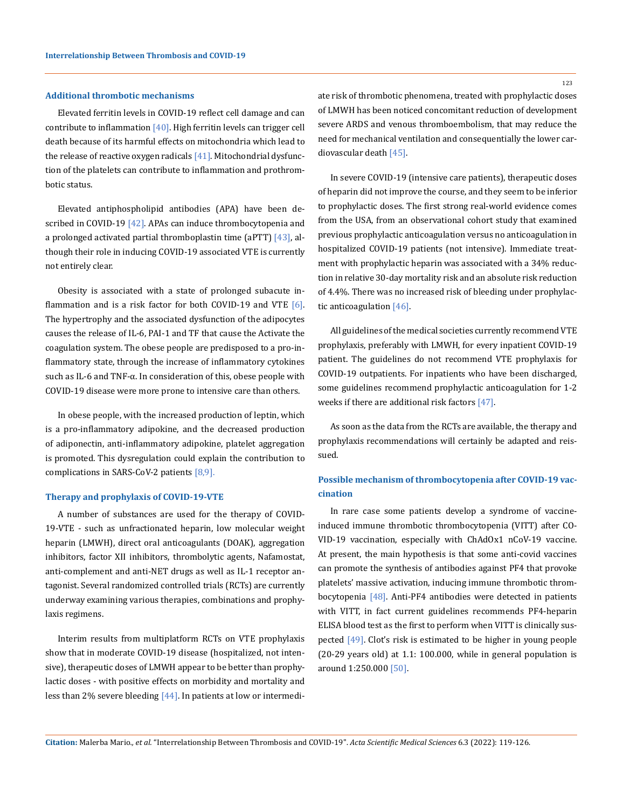## **Additional thrombotic mechanisms**

Elevated ferritin levels in COVID-19 reflect cell damage and can contribute to inflammation  $[40]$ . High ferritin levels can trigger cell death because of its harmful effects on mitochondria which lead to the release of reactive oxygen radicals  $[41]$ . Mitochondrial dysfunction of the platelets can contribute to inflammation and prothrombotic status.

Elevated antiphospholipid antibodies (APA) have been described in COVID-19 [42]. APAs can induce thrombocytopenia and a prolonged activated partial thromboplastin time (aPTT)  $[43]$ , although their role in inducing COVID-19 associated VTE is currently not entirely clear.

Obesity is associated with a state of prolonged subacute inflammation and is a risk factor for both COVID-19 and VTE  $[6]$ . The hypertrophy and the associated dysfunction of the adipocytes causes the release of IL-6, PAI-1 and TF that cause the Activate the coagulation system. The obese people are predisposed to a pro-inflammatory state, through the increase of inflammatory cytokines such as IL-6 and TNF-α. In consideration of this, obese people with COVID-19 disease were more prone to intensive care than others.

In obese people, with the increased production of leptin, which is a pro-inflammatory adipokine, and the decreased production of adiponectin, anti-inflammatory adipokine, platelet aggregation is promoted. This dysregulation could explain the contribution to complications in SARS-CoV-2 patients [8,9].

#### **Therapy and prophylaxis of COVID-19-VTE**

A number of substances are used for the therapy of COVID-19-VTE - such as unfractionated heparin, low molecular weight heparin (LMWH), direct oral anticoagulants (DOAK), aggregation inhibitors, factor XII inhibitors, thrombolytic agents, Nafamostat, anti-complement and anti-NET drugs as well as IL-1 receptor antagonist. Several randomized controlled trials (RCTs) are currently underway examining various therapies, combinations and prophylaxis regimens.

Interim results from multiplatform RCTs on VTE prophylaxis show that in moderate COVID-19 disease (hospitalized, not intensive), therapeutic doses of LMWH appear to be better than prophylactic doses - with positive effects on morbidity and mortality and less than 2% severe bleeding  $[44]$ . In patients at low or intermedi123

ate risk of thrombotic phenomena, treated with prophylactic doses of LMWH has been noticed concomitant reduction of development severe ARDS and venous thromboembolism, that may reduce the need for mechanical ventilation and consequentially the lower cardiovascular death [45].

In severe COVID-19 (intensive care patients), therapeutic doses of heparin did not improve the course, and they seem to be inferior to prophylactic doses. The first strong real-world evidence comes from the USA, from an observational cohort study that examined previous prophylactic anticoagulation versus no anticoagulation in hospitalized COVID-19 patients (not intensive). Immediate treatment with prophylactic heparin was associated with a 34% reduction in relative 30-day mortality risk and an absolute risk reduction of 4.4%. There was no increased risk of bleeding under prophylactic anticoagulation [46].

All guidelines of the medical societies currently recommend VTE prophylaxis, preferably with LMWH, for every inpatient COVID-19 patient. The guidelines do not recommend VTE prophylaxis for COVID-19 outpatients. For inpatients who have been discharged, some guidelines recommend prophylactic anticoagulation for 1-2 weeks if there are additional risk factors [47].

As soon as the data from the RCTs are available, the therapy and prophylaxis recommendations will certainly be adapted and reissued.

# **Possible mechanism of thrombocytopenia after COVID-19 vaccination**

In rare case some patients develop a syndrome of vaccineinduced immune thrombotic thrombocytopenia (VITT) after CO-VID-19 vaccination, especially with ChAdOx1 nCoV-19 vaccine. At present, the main hypothesis is that some anti-covid vaccines can promote the synthesis of antibodies against PF4 that provoke platelets' massive activation, inducing immune thrombotic thrombocytopenia [48]. Anti-PF4 antibodies were detected in patients with VITT, in fact current guidelines recommends PF4-heparin ELISA blood test as the first to perform when VITT is clinically suspected [49]. Clot's risk is estimated to be higher in young people (20-29 years old) at 1.1: 100.000, while in general population is around 1:250.000 [50].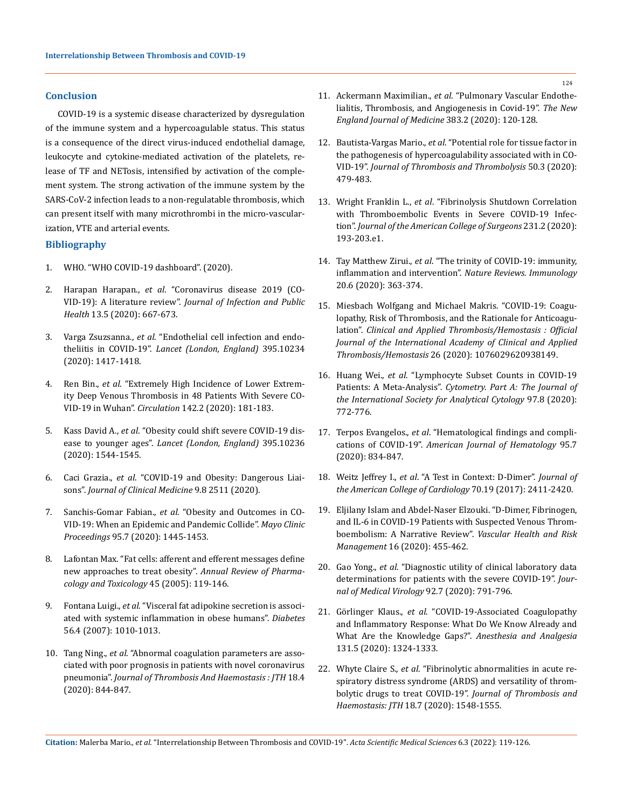## **Conclusion**

COVID-19 is a systemic disease characterized by dysregulation of the immune system and a hypercoagulable status. This status is a consequence of the direct virus-induced endothelial damage, leukocyte and cytokine-mediated activation of the platelets, release of TF and NETosis, intensified by activation of the complement system. The strong activation of the immune system by the SARS-CoV-2 infection leads to a non-regulatable thrombosis, which can present itself with many microthrombi in the micro-vascularization, VTE and arterial events.

## **Bibliography**

- 1. [WHO. "WHO COVID-19 dashboard". \(2020\).](https://covid19.who.int/)
- 2. Harapan Harapan., *et al*[. "Coronavirus disease 2019 \(CO-](https://pubmed.ncbi.nlm.nih.gov/32340833/)VID-19): A literature review". *[Journal of Infection and Public](https://pubmed.ncbi.nlm.nih.gov/32340833/)  Health* [13.5 \(2020\): 667-673.](https://pubmed.ncbi.nlm.nih.gov/32340833/)
- 3. Varga Zsuzsanna., *et al*[. "Endothelial cell infection and endo](https://www.thelancet.com/journals/lancet/article/PIIS0140-6736(20)30937-5/fulltext)theliitis in COVID-19". *[Lancet \(London, England\)](https://www.thelancet.com/journals/lancet/article/PIIS0140-6736(20)30937-5/fulltext)* 395.10234 [\(2020\): 1417-1418.](https://www.thelancet.com/journals/lancet/article/PIIS0140-6736(20)30937-5/fulltext)
- 4. Ren Bin., *et al*[. "Extremely High Incidence of Lower Extrem](https://www.ahajournals.org/doi/10.1161/CIRCULATIONAHA.120.047407)[ity Deep Venous Thrombosis in 48 Patients With Severe CO-](https://www.ahajournals.org/doi/10.1161/CIRCULATIONAHA.120.047407)VID-19 in Wuhan". *Circulation* [142.2 \(2020\): 181-183.](https://www.ahajournals.org/doi/10.1161/CIRCULATIONAHA.120.047407)
- 5. Kass David A., *et al*[. "Obesity could shift severe COVID-19 dis](https://www.thelancet.com/journals/lancet/article/PIIS0140-6736(20)31024-2/fulltext)ease to younger ages". *[Lancet \(London, England\)](https://www.thelancet.com/journals/lancet/article/PIIS0140-6736(20)31024-2/fulltext)* 395.10236 [\(2020\): 1544-1545.](https://www.thelancet.com/journals/lancet/article/PIIS0140-6736(20)31024-2/fulltext)
- 6. Caci Grazia., *et al*[. "COVID-19 and Obesity: Dangerous Liai](https://www.mdpi.com/2077-0383/9/8/2511)sons". *[Journal of Clinical Medicine](https://www.mdpi.com/2077-0383/9/8/2511)* 9.8 2511 (2020).
- 7. Sanchis-Gomar Fabian., *et al*[. "Obesity and Outcomes in CO-](https://pubmed.ncbi.nlm.nih.gov/32622449/)[VID-19: When an Epidemic and Pandemic Collide".](https://pubmed.ncbi.nlm.nih.gov/32622449/) *Mayo Clinic Proceedings* [95.7 \(2020\): 1445-1453.](https://pubmed.ncbi.nlm.nih.gov/32622449/)
- 8. [Lafontan Max. "Fat cells: afferent and efferent messages define](https://www.annualreviews.org/doi/abs/10.1146/annurev.pharmtox.45.120403.095843)  [new approaches to treat obesity".](https://www.annualreviews.org/doi/abs/10.1146/annurev.pharmtox.45.120403.095843) *Annual Review of Pharma[cology and Toxicology](https://www.annualreviews.org/doi/abs/10.1146/annurev.pharmtox.45.120403.095843)* 45 (2005): 119-146.
- 9. Fontana Luigi., *et al*[. "Visceral fat adipokine secretion is associ](https://pubmed.ncbi.nlm.nih.gov/17287468/)[ated with systemic inflammation in obese humans".](https://pubmed.ncbi.nlm.nih.gov/17287468/) *Diabetes* [56.4 \(2007\): 1010-1013.](https://pubmed.ncbi.nlm.nih.gov/17287468/)
- 10. Tang Ning., *et al*[. "Abnormal coagulation parameters are asso](https://onlinelibrary.wiley.com/doi/10.1111/jth.14768)[ciated with poor prognosis in patients with novel coronavirus](https://onlinelibrary.wiley.com/doi/10.1111/jth.14768)  pneumonia". *[Journal of Thrombosis And Haemostasis : JTH](https://onlinelibrary.wiley.com/doi/10.1111/jth.14768)* 18.4 [\(2020\): 844-847.](https://onlinelibrary.wiley.com/doi/10.1111/jth.14768)
- 11. Ackermann Maximilian., *et al*[. "Pulmonary Vascular Endothe](https://www.nejm.org/doi/full/10.1056/nejmoa2015432)[lialitis, Thrombosis, and Angiogenesis in Covid-19".](https://www.nejm.org/doi/full/10.1056/nejmoa2015432) *The New [England Journal of Medicine](https://www.nejm.org/doi/full/10.1056/nejmoa2015432)* 383.2 (2020): 120-128.
- 12. Bautista-Vargas Mario., *et al*[. "Potential role for tissue factor in](https://pubmed.ncbi.nlm.nih.gov/32519164/)  [the pathogenesis of hypercoagulability associated with in CO-](https://pubmed.ncbi.nlm.nih.gov/32519164/)VID-19". *[Journal of Thrombosis and Thrombolysis](https://pubmed.ncbi.nlm.nih.gov/32519164/)* 50.3 (2020): [479-483.](https://pubmed.ncbi.nlm.nih.gov/32519164/)
- 13. Wright Franklin L., *et al*[. "Fibrinolysis Shutdown Correlation](https://pubmed.ncbi.nlm.nih.gov/32422349/)  [with Thromboembolic Events in Severe COVID-19 Infec](https://pubmed.ncbi.nlm.nih.gov/32422349/)tion". *[Journal of the American College of Surgeons](https://pubmed.ncbi.nlm.nih.gov/32422349/)* 231.2 (2020): [193-203.e1.](https://pubmed.ncbi.nlm.nih.gov/32422349/)
- 14. Tay Matthew Zirui., *et al*[. "The trinity of COVID-19: immunity,](https://www.nature.com/articles/s41577-020-0311-8)  inflammation and intervention". *[Nature Reviews. Immunology](https://www.nature.com/articles/s41577-020-0311-8)* [20.6 \(2020\): 363-374.](https://www.nature.com/articles/s41577-020-0311-8)
- 15. [Miesbach Wolfgang and Michael Makris.](https://pubmed.ncbi.nlm.nih.gov/32677459/) "COVID-19: Coagu[lopathy, Risk of Thrombosis, and the Rationale for Anticoagu](https://pubmed.ncbi.nlm.nih.gov/32677459/)lation". *[Clinical and Applied Thrombosis/Hemostasis : Official](https://pubmed.ncbi.nlm.nih.gov/32677459/)  [Journal of the International Academy of Clinical and Applied](https://pubmed.ncbi.nlm.nih.gov/32677459/)  Thrombosis/Hemostasis* [26 \(2020\): 1076029620938149.](https://pubmed.ncbi.nlm.nih.gov/32677459/)
- 16. Huang Wei., *et al*[. "Lymphocyte Subset Counts in COVID-19](https://onlinelibrary.wiley.com/doi/full/10.1002/cyto.a.24172)  Patients: A Meta-Analysis". *[Cytometry. Part A: The Journal of](https://onlinelibrary.wiley.com/doi/full/10.1002/cyto.a.24172)  [the International Society for Analytical Cytology](https://onlinelibrary.wiley.com/doi/full/10.1002/cyto.a.24172)* 97.8 (2020): [772-776.](https://onlinelibrary.wiley.com/doi/full/10.1002/cyto.a.24172)
- 17. Terpos Evangelos., *et al*[. "Hematological findings and compli](https://pubmed.ncbi.nlm.nih.gov/32282949/)cations of COVID-19". *[American Journal of Hematology](https://pubmed.ncbi.nlm.nih.gov/32282949/)* 95.7 [\(2020\): 834-847.](https://pubmed.ncbi.nlm.nih.gov/32282949/)
- 18. Weitz Jeffrey I., *et al*[. "A Test in Context: D-Dimer".](https://pubmed.ncbi.nlm.nih.gov/29096812/) *Journal of [the American College of Cardiology](https://pubmed.ncbi.nlm.nih.gov/29096812/)* 70.19 (2017): 2411-2420.
- 19. [Eljilany Islam and Abdel-Naser Elzouki. "D-Dimer, Fibrinogen,](https://pubmed.ncbi.nlm.nih.gov/33223833/)  [and IL-6 in COVID-19 Patients with Suspected Venous Throm](https://pubmed.ncbi.nlm.nih.gov/33223833/)[boembolism: A Narrative Review".](https://pubmed.ncbi.nlm.nih.gov/33223833/) *Vascular Health and Risk Management* [16 \(2020\): 455-462.](https://pubmed.ncbi.nlm.nih.gov/33223833/)
- 20. Gao Yong., *et al*[. "Diagnostic utility of clinical laboratory data](https://pubmed.ncbi.nlm.nih.gov/32181911/)  [determinations for patients with the severe COVID-19".](https://pubmed.ncbi.nlm.nih.gov/32181911/) *Jour[nal of Medical Virology](https://pubmed.ncbi.nlm.nih.gov/32181911/)* 92.7 (2020): 791-796.
- 21. Görlinger Klaus., *et al*[. "COVID-19-Associated Coagulopathy](https://pubmed.ncbi.nlm.nih.gov/33079850/)  [and Inflammatory Response: What Do We Know Already and](https://pubmed.ncbi.nlm.nih.gov/33079850/)  [What Are the Knowledge Gaps?".](https://pubmed.ncbi.nlm.nih.gov/33079850/) *Anesthesia and Analgesia* [131.5 \(2020\): 1324-1333.](https://pubmed.ncbi.nlm.nih.gov/33079850/)
- 22. Whyte Claire S., *et al*[. "Fibrinolytic abnormalities in acute re](https://pubmed.ncbi.nlm.nih.gov/32329246/)[spiratory distress syndrome \(ARDS\) and versatility of throm](https://pubmed.ncbi.nlm.nih.gov/32329246/)[bolytic drugs to treat COVID-19".](https://pubmed.ncbi.nlm.nih.gov/32329246/) *Journal of Thrombosis and Haemostasis: JTH* [18.7 \(2020\): 1548-1555.](https://pubmed.ncbi.nlm.nih.gov/32329246/)

**Citation:** Malerba Mario*., et al.* "Interrelationship Between Thrombosis and COVID-19". *Acta Scientific Medical Sciences* 6.3 (2022): 119-126.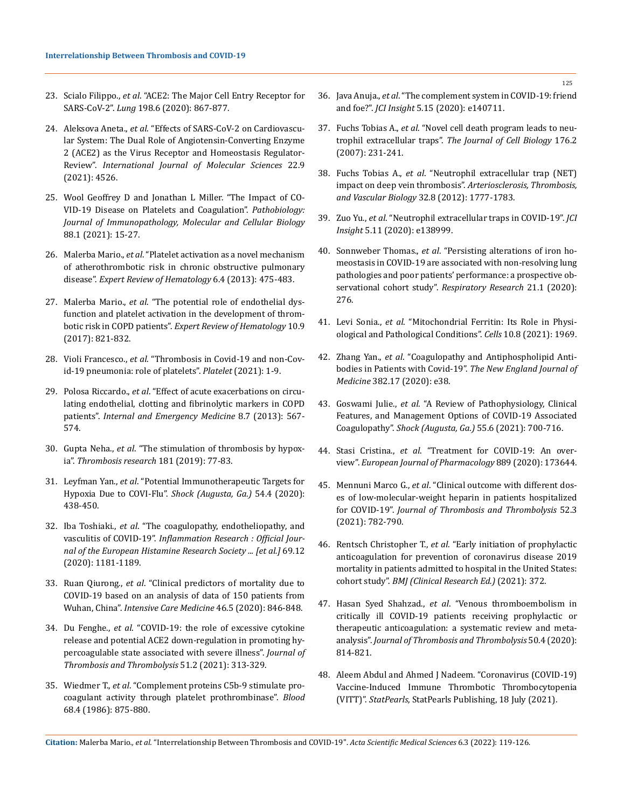- 23. Scialo Filippo., *et al*[. "ACE2: The Major Cell Entry Receptor for](https://pubmed.ncbi.nlm.nih.gov/33170317/)  SARS-CoV-2". *Lung* [198.6 \(2020\): 867-877.](https://pubmed.ncbi.nlm.nih.gov/33170317/)
- 24. Aleksova Aneta., *et al*[. "Effects of SARS-CoV-2 on Cardiovascu](https://www.mdpi.com/1422-0067/22/9/4526)[lar System: The Dual Role of Angiotensin-Converting Enzyme](https://www.mdpi.com/1422-0067/22/9/4526)  [2 \(ACE2\) as the Virus Receptor and Homeostasis Regulator-](https://www.mdpi.com/1422-0067/22/9/4526)Review". *[International Journal of Molecular Sciences](https://www.mdpi.com/1422-0067/22/9/4526)* 22.9 [\(2021\): 4526.](https://www.mdpi.com/1422-0067/22/9/4526)
- 25. [Wool Geoffrey D and Jonathan L Miller. "The Impact of CO](https://www.karger.com/Article/FullText/512007)-[VID-19 Disease on Platelets and Coagulation".](https://www.karger.com/Article/FullText/512007) *Pathobiology: [Journal of Immunopathology, Molecular and Cellular Biology](https://www.karger.com/Article/FullText/512007)* [88.1 \(2021\): 15-27.](https://www.karger.com/Article/FullText/512007)
- 26. Malerba Mario., *et al*[. "Platelet activation as a novel mechanism](https://www.tandfonline.com/doi/abs/10.1586/17474086.2013.814835?journalCode=ierr20)  [of atherothrombotic risk in chronic obstructive pulmonary](https://www.tandfonline.com/doi/abs/10.1586/17474086.2013.814835?journalCode=ierr20)  disease". *[Expert Review of Hematology](https://www.tandfonline.com/doi/abs/10.1586/17474086.2013.814835?journalCode=ierr20)* 6.4 (2013): 475-483.
- 27. Malerba Mario., *et al*[. "The potential role of endothelial dys](https://www.tandfonline.com/doi/abs/10.1080/17474086.2017.1353416?journalCode=ierr20)[function and platelet activation in the development of throm](https://www.tandfonline.com/doi/abs/10.1080/17474086.2017.1353416?journalCode=ierr20)botic risk in COPD patients". *[Expert Review of Hematology](https://www.tandfonline.com/doi/abs/10.1080/17474086.2017.1353416?journalCode=ierr20)* 10.9 [\(2017\): 821-832.](https://www.tandfonline.com/doi/abs/10.1080/17474086.2017.1353416?journalCode=ierr20)
- 28. Violi Francesco., *et al*[. "Thrombosis in Covid-19 and non-Cov](https://pubmed.ncbi.nlm.nih.gov/34097572/)[id-19 pneumonia: role of platelets".](https://pubmed.ncbi.nlm.nih.gov/34097572/) *Platelet* (2021): 1-9.
- 29. Polosa Riccardo., *et al*[. "Effect of acute exacerbations on circu](https://pubmed.ncbi.nlm.nih.gov/21660493/)[lating endothelial, clotting and fibrinolytic markers in COPD](https://pubmed.ncbi.nlm.nih.gov/21660493/)  patients". *[Internal and Emergency Medicine](https://pubmed.ncbi.nlm.nih.gov/21660493/)* 8.7 (2013): 567- [574.](https://pubmed.ncbi.nlm.nih.gov/21660493/)
- 30. Gupta Neha., *et al*[. "The stimulation of thrombosis by hypox](https://pubmed.ncbi.nlm.nih.gov/31376606/)ia". *[Thrombosis research](https://pubmed.ncbi.nlm.nih.gov/31376606/)* 181 (2019): 77-83.
- 31. Leyfman Yan., *et al*[. "Potential Immunotherapeutic Targets for](https://pubmed.ncbi.nlm.nih.gov/32649367/)  [Hypoxia Due to COVI-Flu".](https://pubmed.ncbi.nlm.nih.gov/32649367/) *Shock (Augusta, Ga.)* 54.4 (2020): [438-450.](https://pubmed.ncbi.nlm.nih.gov/32649367/)
- 32. Iba Toshiaki., *et al*[. "The coagulopathy, endotheliopathy, and](https://link.springer.com/article/10.1007/s00011-020-01401-6)  vasculitis of COVID-19". *[Inflammation Research : Official Jour](https://link.springer.com/article/10.1007/s00011-020-01401-6)[nal of the European Histamine Research Society ... \[et al.\]](https://link.springer.com/article/10.1007/s00011-020-01401-6)* 69.12 [\(2020\): 1181-1189.](https://link.springer.com/article/10.1007/s00011-020-01401-6)
- 33. Ruan Qiurong., *et al*[. "Clinical predictors of mortality due to](https://pubmed.ncbi.nlm.nih.gov/32125452/)  [COVID-19 based on an analysis of data of 150 patients from](https://pubmed.ncbi.nlm.nih.gov/32125452/)  Wuhan, China". *[Intensive Care Medicine](https://pubmed.ncbi.nlm.nih.gov/32125452/)* 46.5 (2020): 846-848.
- 34. Du Fenghe., *et al*[. "COVID-19: the role of excessive cytokine](https://link.springer.com/article/10.1007/s11239-020-02224-2)  [release and potential ACE2 down-regulation in promoting hy](https://link.springer.com/article/10.1007/s11239-020-02224-2)[percoagulable state associated with severe illness".](https://link.springer.com/article/10.1007/s11239-020-02224-2) *Journal of [Thrombosis and Thrombolysis](https://link.springer.com/article/10.1007/s11239-020-02224-2)* 51.2 (2021): 313-329.
- 35. Wiedmer T., *et al*[. "Complement proteins C5b-9 stimulate pro](https://pubmed.ncbi.nlm.nih.gov/3092889/)[coagulant activity through platelet prothrombinase".](https://pubmed.ncbi.nlm.nih.gov/3092889/) *Blood* [68.4 \(1986\): 875-880.](https://pubmed.ncbi.nlm.nih.gov/3092889/)
- 36. Java Anuja., *et al*[. "The complement system in COVID-19: friend](https://insight.jci.org/articles/view/140711)  and foe?". *JCI Insight* [5.15 \(2020\): e140711.](https://insight.jci.org/articles/view/140711)
- 37. Fuchs Tobias A., *et al*[. "Novel cell death program leads to neu](https://pubmed.ncbi.nlm.nih.gov/17210947/)trophil extracellular traps". *[The Journal of Cell Biology](https://pubmed.ncbi.nlm.nih.gov/17210947/)* 176.2 [\(2007\): 231-241.](https://pubmed.ncbi.nlm.nih.gov/17210947/)
- 38. Fuchs Tobias A., *et al*[. "Neutrophil extracellular trap \(NET\)](https://www.ahajournals.org/doi/10.1161/atvbaha.111.242859)  impact on deep vein thrombosis". *[Arteriosclerosis, Thrombosis,](https://www.ahajournals.org/doi/10.1161/atvbaha.111.242859)  [and Vascular Biology](https://www.ahajournals.org/doi/10.1161/atvbaha.111.242859)* 32.8 (2012): 1777-1783.
- 39. Zuo Yu., *et al*[. "Neutrophil extracellular traps in COVID-19".](https://pubmed.ncbi.nlm.nih.gov/32329756/) *JCI Insight* [5.11 \(2020\): e138999.](https://pubmed.ncbi.nlm.nih.gov/32329756/)
- 40. Sonnweber Thomas., *et al*[. "Persisting alterations of iron ho](https://respiratory-research.biomedcentral.com/articles/10.1186/s12931-020-01546-2)[meostasis in COVID-19 are associated with non-resolving lung](https://respiratory-research.biomedcentral.com/articles/10.1186/s12931-020-01546-2)  [pathologies and poor patients' performance: a prospective ob](https://respiratory-research.biomedcentral.com/articles/10.1186/s12931-020-01546-2)[servational cohort study".](https://respiratory-research.biomedcentral.com/articles/10.1186/s12931-020-01546-2) *Respiratory Research* 21.1 (2020): [276.](https://respiratory-research.biomedcentral.com/articles/10.1186/s12931-020-01546-2)
- 41. Levi Sonia., *et al*[. "Mitochondrial Ferritin: Its Role in Physi](https://pubmed.ncbi.nlm.nih.gov/34440737/)[ological and Pathological Conditions".](https://pubmed.ncbi.nlm.nih.gov/34440737/) *Cells* 10.8 (2021): 1969.
- 42. Zhang Yan., *et al*[. "Coagulopathy and Antiphospholipid Anti](https://www.nejm.org/doi/full/10.1056/nejmc2007575)bodies in Patients with Covid-19". *[The New England Journal of](https://www.nejm.org/doi/full/10.1056/nejmc2007575)  Medicine* [382.17 \(2020\): e38.](https://www.nejm.org/doi/full/10.1056/nejmc2007575)
- 43. Goswami Julie., *et al*[. "A Review of Pathophysiology, Clinical](https://pubmed.ncbi.nlm.nih.gov/33378321/)  [Features, and Management Options of COVID-19 Associated](https://pubmed.ncbi.nlm.nih.gov/33378321/)  Coagulopathy". *[Shock \(Augusta, Ga.\)](https://pubmed.ncbi.nlm.nih.gov/33378321/)* 55.6 (2021): 700-716.
- 44. Stasi Cristina., *et al*[. "Treatment for COVID-19: An over](https://pubmed.ncbi.nlm.nih.gov/33053381/)view". *[European Journal of Pharmacology](https://pubmed.ncbi.nlm.nih.gov/33053381/)* 889 (2020): 173644.
- 45. Mennuni Marco G., *et al*[. "Clinical outcome with different dos](https://pubmed.ncbi.nlm.nih.gov/33649979/)[es of low-molecular-weight heparin in patients hospitalized](https://pubmed.ncbi.nlm.nih.gov/33649979/)  for COVID-19". *[Journal of Thrombosis and Thrombolysis](https://pubmed.ncbi.nlm.nih.gov/33649979/)* 52.3 [\(2021\): 782-790.](https://pubmed.ncbi.nlm.nih.gov/33649979/)
- 46. Rentsch Christopher T., *et al*[. "Early initiation of prophylactic](https://www.bmj.com/content/372/bmj.n311)  [anticoagulation for prevention of coronavirus disease 2019](https://www.bmj.com/content/372/bmj.n311)  [mortality in patients admitted to hospital in the United States:](https://www.bmj.com/content/372/bmj.n311)  cohort study". *[BMJ \(Clinical Research Ed.\)](https://www.bmj.com/content/372/bmj.n311)* (2021): 372.
- 47. Hasan Syed Shahzad., *et al*[. "Venous thromboembolism in](https://pubmed.ncbi.nlm.nih.gov/32748122/)  [critically ill COVID-19 patients receiving prophylactic or](https://pubmed.ncbi.nlm.nih.gov/32748122/)  [therapeutic anticoagulation: a systematic review and meta](https://pubmed.ncbi.nlm.nih.gov/32748122/)analysis". *[Journal of Thrombosis and Thrombolysis](https://pubmed.ncbi.nlm.nih.gov/32748122/)* 50.4 (2020): [814-821.](https://pubmed.ncbi.nlm.nih.gov/32748122/)
- 48. [Aleem Abdul and Ahmed J Nadeem. "Coronavirus \(COVID-19\)](https://www.ncbi.nlm.nih.gov/books/NBK570605/)  [Vaccine-Induced Immune Thrombotic Thrombocytopenia](https://www.ncbi.nlm.nih.gov/books/NBK570605/)  (VITT)". *StatPearls*[, StatPearls Publishing, 18 July \(2021\).](https://www.ncbi.nlm.nih.gov/books/NBK570605/)

**Citation:** Malerba Mario*., et al.* "Interrelationship Between Thrombosis and COVID-19". *Acta Scientific Medical Sciences* 6.3 (2022): 119-126.